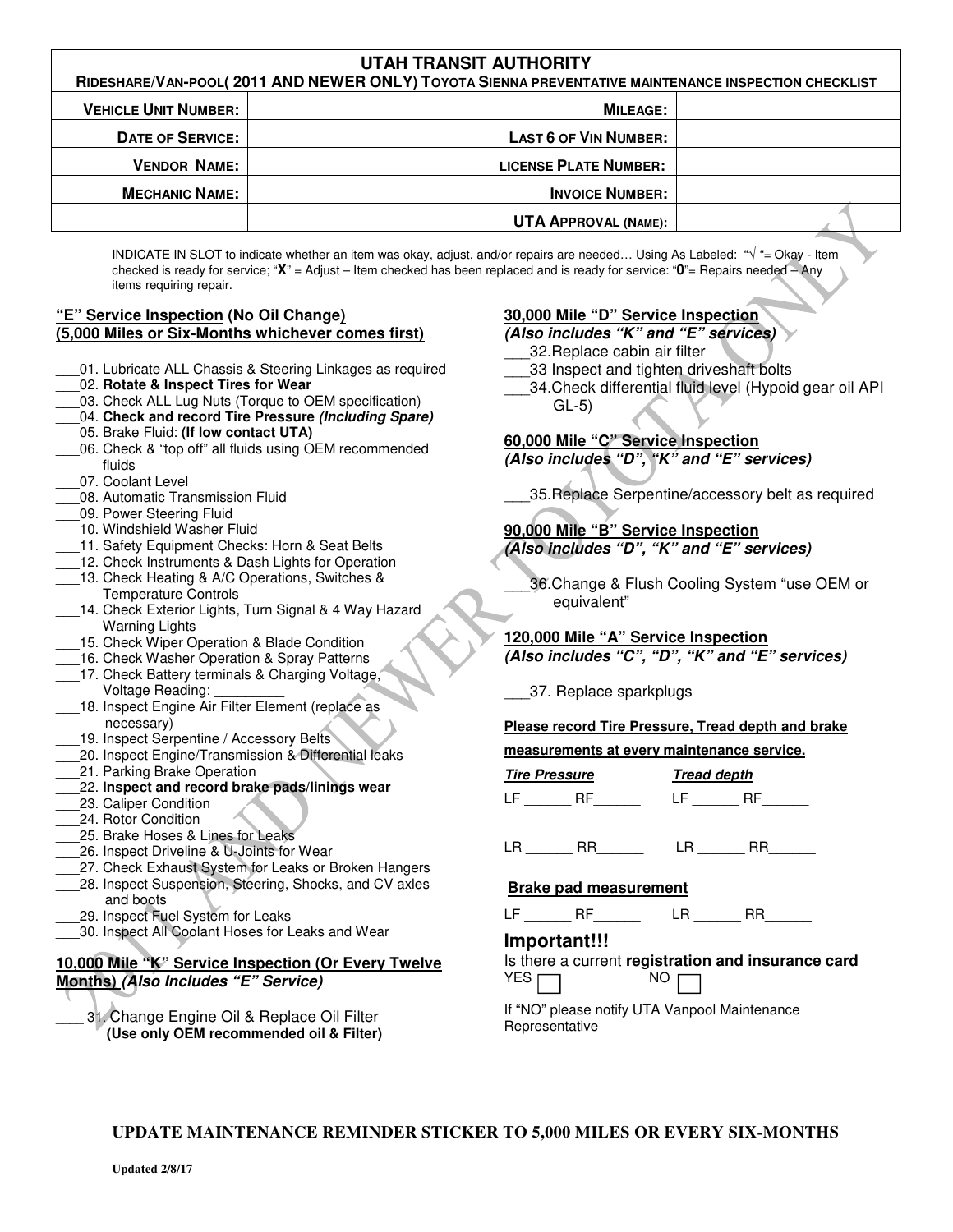| <b>UTAH TRANSIT AUTHORITY</b>                                                                       |                              |  |
|-----------------------------------------------------------------------------------------------------|------------------------------|--|
| RIDESHARE/VAN-POOL(2011 AND NEWER ONLY) TOYOTA SIENNA PREVENTATIVE MAINTENANCE INSPECTION CHECKLIST |                              |  |
| <b>VEHICLE UNIT NUMBER:</b>                                                                         | <b>MILEAGE:</b>              |  |
| <b>DATE OF SERVICE:</b>                                                                             | <b>LAST 6 OF VIN NUMBER:</b> |  |
| <b>VENDOR NAME:</b>                                                                                 | <b>LICENSE PLATE NUMBER:</b> |  |
| <b>MECHANIC NAME:</b>                                                                               | <b>INVOICE NUMBER:</b>       |  |
|                                                                                                     | <b>UTA APPROVAL (NAME):</b>  |  |

INDICATE IN SLOT to indicate whether an item was okay, adjust, and/or repairs are needed… Using As Labeled: "**√** "= Okay - Item checked is ready for service; "**X**" = Adjust – Item checked has been replaced and is ready for service: "**0**"= Repairs needed – Any items requiring repair.

#### **"E" Service Inspection (No Oil Change) (5,000 Miles or Six-Months whichever comes first)**

- 01. Lubricate ALL Chassis & Steering Linkages as required
- \_\_\_02. **Rotate & Inspect Tires for Wear**
- \_\_\_03. Check ALL Lug Nuts (Torque to OEM specification)
- \_\_\_04. **Check and record Tire Pressure (Including Spare)**
- \_\_\_05. Brake Fluid: **(If low contact UTA)**
- 06. Check & "top off" all fluids using OEM recommended fluids
- 07. Coolant Level
- 08. Automatic Transmission Fluid
- 09. Power Steering Fluid
- 10. Windshield Washer Fluid
- 11. Safety Equipment Checks: Horn & Seat Belts
- 12. Check Instruments & Dash Lights for Operation
- 13. Check Heating & A/C Operations, Switches & Temperature Controls
- 14. Check Exterior Lights, Turn Signal & 4 Way Hazard Warning Lights
- 15. Check Wiper Operation & Blade Condition
- \_\_\_16. Check Washer Operation & Spray Patterns
- 17. Check Battery terminals & Charging Voltage, Voltage Reading: \_\_\_\_\_\_\_\_\_
- 18. Inspect Engine Air Filter Element (replace as necessary)
- 19. Inspect Serpentine / Accessory Belts
- \_\_\_20. Inspect Engine/Transmission & Differential leaks
- 21. Parking Brake Operation
- \_\_\_22. **Inspect and record brake pads/linings wear**
- \_\_\_23. Caliper Condition
- \_\_\_24. Rotor Condition
- 25. Brake Hoses & Lines for Leaks
- 26. Inspect Driveline & U-Joints for Wear
- \_\_\_27. Check Exhaust System for Leaks or Broken Hangers
- 28. Inspect Suspension, Steering, Shocks, and CV axles and boots
- 29. Inspect Fuel System for Leaks
- \_\_\_30. Inspect All Coolant Hoses for Leaks and Wear

# **10,000 Mile "K" Service Inspection (Or Every Twelve Months) (Also Includes "E" Service)**

31. Change Engine Oil & Replace Oil Filter  **(Use only OEM recommended oil & Filter)**

## **30,000 Mile "D" Service Inspection**

#### **(Also includes "K" and "E" services)**

- \_\_\_32.Replace cabin air filter
- 33 Inspect and tighten driveshaft bolts
- 34. Check differential fluid level (Hypoid gear oil API GL-5)

## **60,000 Mile "C" Service Inspection (Also includes "D", "K" and "E" services)**

\_\_\_35.Replace Serpentine/accessory belt as required

## **90,000 Mile "B" Service Inspection**

**(Also includes "D", "K" and "E" services)** 

36.Change & Flush Cooling System "use OEM or equivalent"

## **120,000 Mile "A" Service Inspection (Also includes "C", "D", "K" and "E" services)**

\_\_\_37. Replace sparkplugs

## **Please record Tire Pressure, Tread depth and brake**

**measurements at every maintenance service.** 

**Tire Pressure Tread depth**   $LF$  RF  $LF$  RF

 $LR$   $RR$   $LR$   $RR$ 

## **Brake pad measurement**

 $LF$  RF  $LR$  RR

## **Important!!!**

Is there a current **registration and insurance card**  $YES \nightharpoonup$  NO

If "NO" please notify UTA Vanpool Maintenance Representative

**UPDATE MAINTENANCE REMINDER STICKER TO 5,000 MILES OR EVERY SIX-MONTHS**